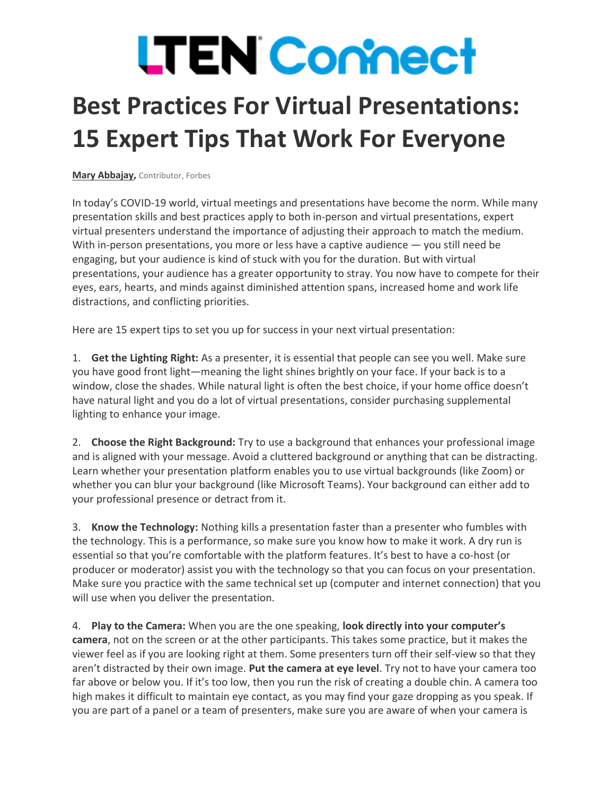## **LTEN Connect**

## Best Practices For Virtual Presentations: 15 Expert Tips That Work For Everyone

Mary Abbajay, Contributor, Forbes

In today's COVID-19 world, virtual meetings and presentations have become the norm. While many presentation skills and best practices apply to both in-person and virtual presentations, expert virtual presenters understand the importance of adjusting their approach to match the medium. With in-person presentations, you more or less have a captive audience  $-$  you still need be engaging, but your audience is kind of stuck with you for the duration. But with virtual presentations, your audience has a greater opportunity to stray. You now have to compete for their eyes, ears, hearts, and minds against diminished attention spans, increased home and work life distractions, and conflicting priorities.

Here are 15 expert tips to set you up for success in your next virtual presentation:

1. Get the Lighting Right: As a presenter, it is essential that people can see you well. Make sure you have good front light—meaning the light shines brightly on your face. If your back is to a window, close the shades. While natural light is often the best choice, if your home office doesn't have natural light and you do a lot of virtual presentations, consider purchasing supplemental lighting to enhance your image.

2. Choose the Right Background: Try to use a background that enhances your professional image and is aligned with your message. Avoid a cluttered background or anything that can be distracting. Learn whether your presentation platform enables you to use virtual backgrounds (like Zoom) or whether you can blur your background (like Microsoft Teams). Your background can either add to your professional presence or detract from it.

3. Know the Technology: Nothing kills a presentation faster than a presenter who fumbles with the technology. This is a performance, so make sure you know how to make it work. A dry run is essential so that you're comfortable with the platform features. It's best to have a co-host (or producer or moderator) assist you with the technology so that you can focus on your presentation. Make sure you practice with the same technical set up (computer and internet connection) that you will use when you deliver the presentation.

4. Play to the Camera: When you are the one speaking, look directly into your computer's camera, not on the screen or at the other participants. This takes some practice, but it makes the viewer feel as if you are looking right at them. Some presenters turn off their self-view so that they aren't distracted by their own image. Put the camera at eye level. Try not to have your camera too far above or below you. If it's too low, then you run the risk of creating a double chin. A camera too high makes it difficult to maintain eye contact, as you may find your gaze dropping as you speak. If you are part of a panel or a team of presenters, make sure you are aware of when your camera is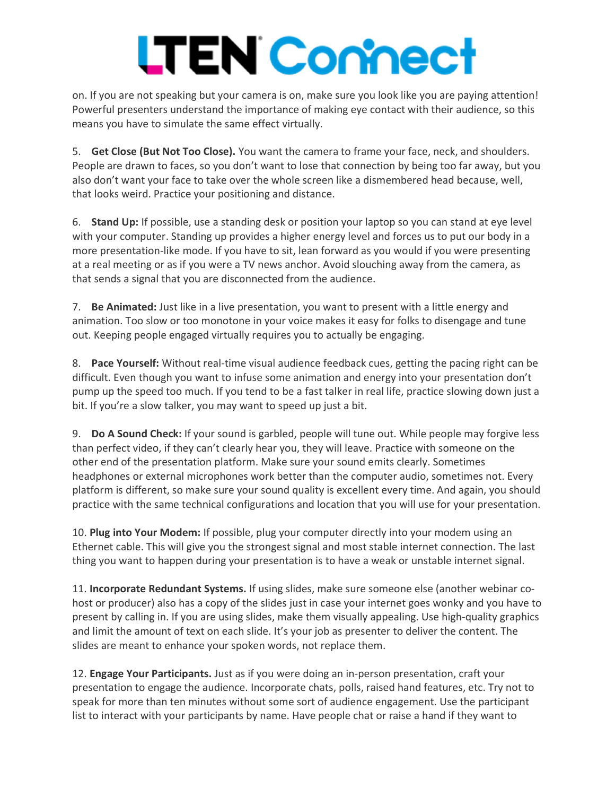## **LTEN Connect**

on. If you are not speaking but your camera is on, make sure you look like you are paying attention! Powerful presenters understand the importance of making eye contact with their audience, so this means you have to simulate the same effect virtually.

5. Get Close (But Not Too Close). You want the camera to frame your face, neck, and shoulders. People are drawn to faces, so you don't want to lose that connection by being too far away, but you also don't want your face to take over the whole screen like a dismembered head because, well, that looks weird. Practice your positioning and distance.

6. Stand Up: If possible, use a standing desk or position your laptop so you can stand at eye level with your computer. Standing up provides a higher energy level and forces us to put our body in a more presentation-like mode. If you have to sit, lean forward as you would if you were presenting at a real meeting or as if you were a TV news anchor. Avoid slouching away from the camera, as that sends a signal that you are disconnected from the audience.

7. Be Animated: Just like in a live presentation, you want to present with a little energy and animation. Too slow or too monotone in your voice makes it easy for folks to disengage and tune out. Keeping people engaged virtually requires you to actually be engaging.

8. Pace Yourself: Without real-time visual audience feedback cues, getting the pacing right can be difficult. Even though you want to infuse some animation and energy into your presentation don't pump up the speed too much. If you tend to be a fast talker in real life, practice slowing down just a bit. If you're a slow talker, you may want to speed up just a bit.

9. Do A Sound Check: If your sound is garbled, people will tune out. While people may forgive less than perfect video, if they can't clearly hear you, they will leave. Practice with someone on the other end of the presentation platform. Make sure your sound emits clearly. Sometimes headphones or external microphones work better than the computer audio, sometimes not. Every platform is different, so make sure your sound quality is excellent every time. And again, you should practice with the same technical configurations and location that you will use for your presentation.

10. Plug into Your Modem: If possible, plug your computer directly into your modem using an Ethernet cable. This will give you the strongest signal and most stable internet connection. The last thing you want to happen during your presentation is to have a weak or unstable internet signal.

11. Incorporate Redundant Systems. If using slides, make sure someone else (another webinar cohost or producer) also has a copy of the slides just in case your internet goes wonky and you have to present by calling in. If you are using slides, make them visually appealing. Use high-quality graphics and limit the amount of text on each slide. It's your job as presenter to deliver the content. The slides are meant to enhance your spoken words, not replace them.

12. Engage Your Participants. Just as if you were doing an in-person presentation, craft your presentation to engage the audience. Incorporate chats, polls, raised hand features, etc. Try not to speak for more than ten minutes without some sort of audience engagement. Use the participant list to interact with your participants by name. Have people chat or raise a hand if they want to